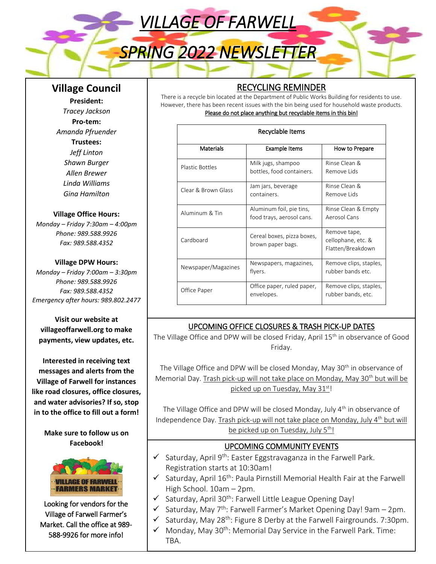*VILLAGE OF FARWELL* 

# *SPRING 2022 NEWSLETTER*

# **Village Council**

**President:**  *Tracey Jackson* **Pro-tem:**  *Amanda Pfruender* **Trustees:** *Jeff Linton Shawn Burger Allen Brewer Linda Williams Gina Hamilton*

#### **Village Office Hours:**

*Monday – Friday 7:30am – 4:00pm Phone: 989.588.9926 Fax: 989.588.4352*

#### **Village DPW Hours:**

*Monday – Friday 7:00am – 3:30pm Phone: 989.588.9926 Fax: 989.588.4352 Emergency after hours: 989.802.2477*

**Visit our website at villageoffarwell.org to make payments, view updates, etc.** 

**Interested in receiving text messages and alerts from the Village of Farwell for instances like road closures, office closures, and water advisories? If so, stop in to the office to fill out a form!** 

> **Make sure to follow us on Facebook!**



Looking for vendors for the Village of Farwell Farmer's Market. Call the office at 989- 588-9926 for more info!

# RECYCLING REMINDER

There is a recycle bin located at the Department of Public Works Building for residents to use. However, there has been recent issues with the bin being used for household waste products. Please do not place anything but recyclable items in this bin!

| Recyclable Items       |                                                       |                                                         |
|------------------------|-------------------------------------------------------|---------------------------------------------------------|
| Materials              | <b>Example Items</b>                                  | How to Prepare                                          |
| <b>Plastic Bottles</b> | Milk jugs, shampoo<br>bottles, food containers.       | Rinse Clean &<br>Remove Lids                            |
| Clear & Brown Glass    | Jam jars, beverage<br>containers.                     | Rinse Clean &<br>Remove Lids                            |
| Aluminum & Tin         | Aluminum foil, pie tins,<br>food trays, aerosol cans. | Rinse Clean & Empty<br>Aerosol Cans                     |
| Cardboard              | Cereal boxes, pizza boxes,<br>brown paper bags.       | Remove tape,<br>cellophane, etc. &<br>Flatten/Breakdown |
| Newspaper/Magazines    | Newspapers, magazines,<br>flyers.                     | Remove clips, staples,<br>rubber bands etc.             |
| Office Paper           | Office paper, ruled paper,<br>envelopes.              | Remove clips, staples,<br>rubber bands, etc.            |

## UPCOMING OFFICE CLOSURES & TRASH PICK-UP DATES

The Village Office and DPW will be closed Friday, April 15<sup>th</sup> in observance of Good Friday.

The Village Office and DPW will be closed Monday, May 30<sup>th</sup> in observance of Memorial Day. Trash pick-up will not take place on Monday, May 30<sup>th</sup> but will be picked up on Tuesday, May 31st!

The Village Office and DPW will be closed Monday, July 4<sup>th</sup> in observance of Independence Day. Trash pick-up will not take place on Monday, July 4<sup>th</sup> but will be picked up on Tuesday, July  $5<sup>th</sup>$ !

## UPCOMING COMMUNITY EVENTS

- $\checkmark$  Saturday, April 9<sup>th</sup>: Easter Eggstravaganza in the Farwell Park. Registration starts at 10:30am!
- $\checkmark$  Saturday, April 16<sup>th</sup>: Paula Pirnstill Memorial Health Fair at the Farwell High School. 10am – 2pm.
- $\checkmark$  Saturday, April 30<sup>th</sup>: Farwell Little League Opening Day!
- $\checkmark$  Saturday, May 7<sup>th</sup>: Farwell Farmer's Market Opening Day! 9am 2pm.
- $\checkmark$  Saturday, May 28<sup>th</sup>: Figure 8 Derby at the Farwell Fairgrounds. 7:30pm.
- $\checkmark$  Monday, May 30<sup>th</sup>: Memorial Day Service in the Farwell Park. Time: TBA.